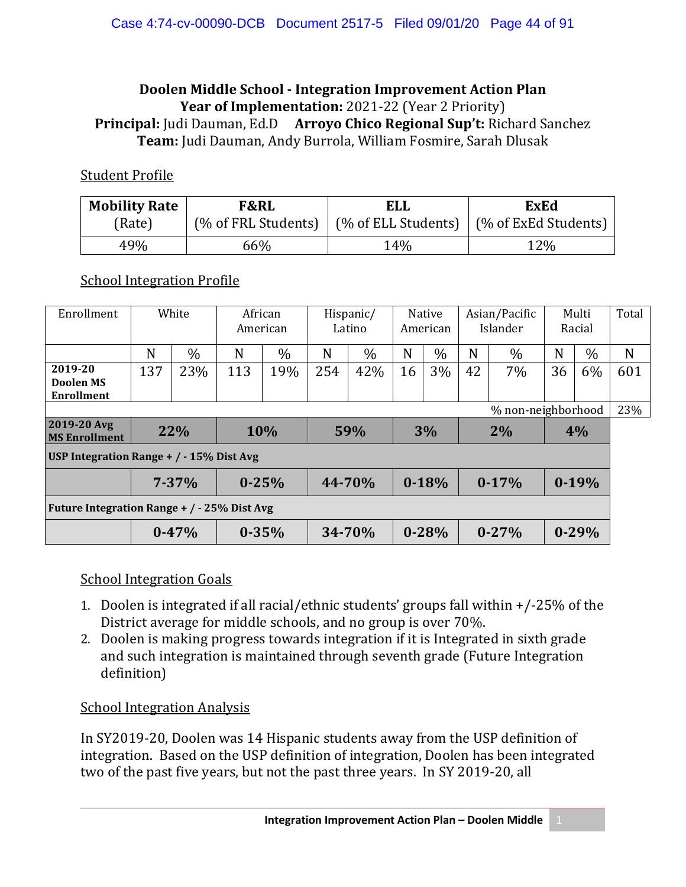#### **Doolen Middle School - Integration Improvement Action Plan Year of Implementation:** 2021-22 (Year 2 Priority) **Principal:** Judi Dauman, Ed.D **Arroyo Chico Regional Sup't:** Richard Sanchez **Team:** Judi Dauman, Andy Burrola, William Fosmire, Sarah Dlusak

#### Student Profile

| <b>Mobility Rate</b> | <b>F&amp;RL</b>                              | <b>ELL</b>                 | <b>ExEd</b>          |  |  |  |
|----------------------|----------------------------------------------|----------------------------|----------------------|--|--|--|
| (Rate)               | $\frac{1}{2}$ of FRL Students) $\frac{1}{2}$ | $\mid$ (% of ELL Students) | (% of ExEd Students) |  |  |  |
| 49%                  | 66%                                          | 14%                        | 12%                  |  |  |  |

### School Integration Profile

| Enrollment                                       | White |            | African<br>American |      | Hispanic/<br>Latino |        | Native<br>American |           | Asian/Pacific<br>Islander |           | Multi<br>Racial |           | Total |
|--------------------------------------------------|-------|------------|---------------------|------|---------------------|--------|--------------------|-----------|---------------------------|-----------|-----------------|-----------|-------|
|                                                  | N     | $\%$       | N                   | $\%$ | N                   | $\%$   | N                  | $\%$      | N                         | $\%$      | N               | $\%$      | N     |
| 2019-20<br><b>Doolen MS</b><br><b>Enrollment</b> | 137   | 23%        | 113                 | 19%  | 254                 | 42%    | 16                 | 3%        | 42                        | 7%        | 36              | 6%        | 601   |
| % non-neighborhood                               |       |            |                     |      |                     |        |                    |           |                           |           |                 | 23%       |       |
| 2019-20 Avg<br><b>MS Enrollment</b>              | 22%   |            |                     | 10%  |                     | 59%    | 3%                 |           | 2%                        |           | 4%              |           |       |
| USP Integration Range + $/ -15\%$ Dist Avg       |       |            |                     |      |                     |        |                    |           |                           |           |                 |           |       |
|                                                  |       | $7 - 37\%$ | $0 - 25%$           |      |                     | 44-70% |                    | $0 - 18%$ |                           | $0-17%$   |                 | $0-19%$   |       |
| Future Integration Range + / - 25% Dist Avg      |       |            |                     |      |                     |        |                    |           |                           |           |                 |           |       |
|                                                  |       | $0 - 47%$  | $0 - 35%$           |      |                     | 34-70% |                    | $0 - 28%$ |                           | $0 - 27%$ |                 | $0 - 29%$ |       |

### School Integration Goals

- 1. Doolen is integrated if all racial/ethnic students' groups fall within +/-25% of the District average for middle schools, and no group is over 70%.
- 2. Doolen is making progress towards integration if it is Integrated in sixth grade and such integration is maintained through seventh grade (Future Integration definition)

### School Integration Analysis

In SY2019-20, Doolen was 14 Hispanic students away from the USP definition of integration. Based on the USP definition of integration, Doolen has been integrated two of the past five years, but not the past three years. In SY 2019-20, all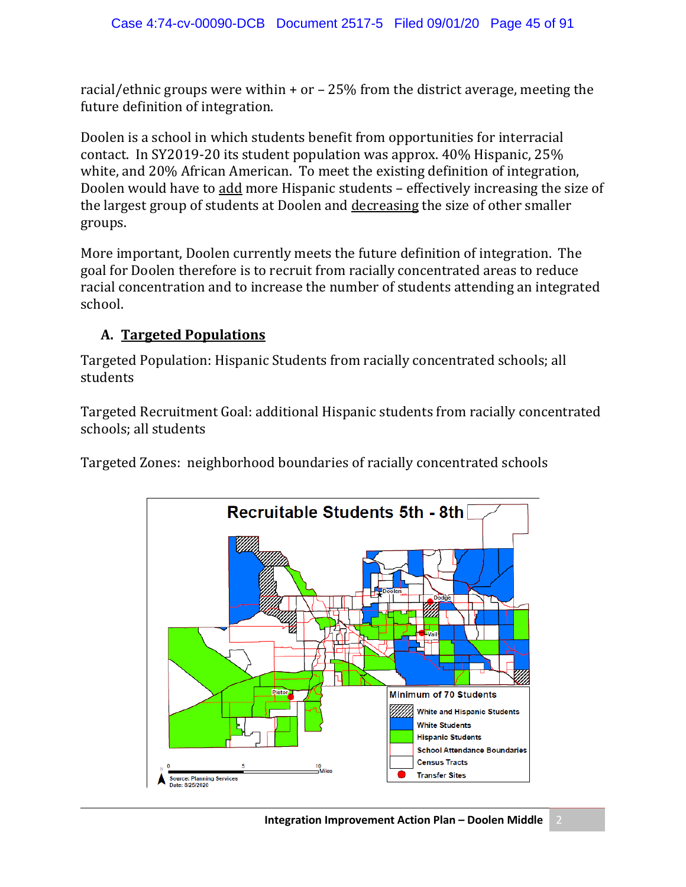racial/ethnic groups were within + or – 25% from the district average, meeting the future definition of integration.

Doolen is a school in which students benefit from opportunities for interracial contact. In SY2019-20 its student population was approx. 40% Hispanic, 25% white, and 20% African American. To meet the existing definition of integration, Doolen would have to add more Hispanic students – effectively increasing the size of the largest group of students at Doolen and decreasing the size of other smaller groups.

More important, Doolen currently meets the future definition of integration. The goal for Doolen therefore is to recruit from racially concentrated areas to reduce racial concentration and to increase the number of students attending an integrated school.

### **A. Targeted Populations**

Targeted Population: Hispanic Students from racially concentrated schools; all students

Targeted Recruitment Goal: additional Hispanic students from racially concentrated schools; all students

Targeted Zones: neighborhood boundaries of racially concentrated schools

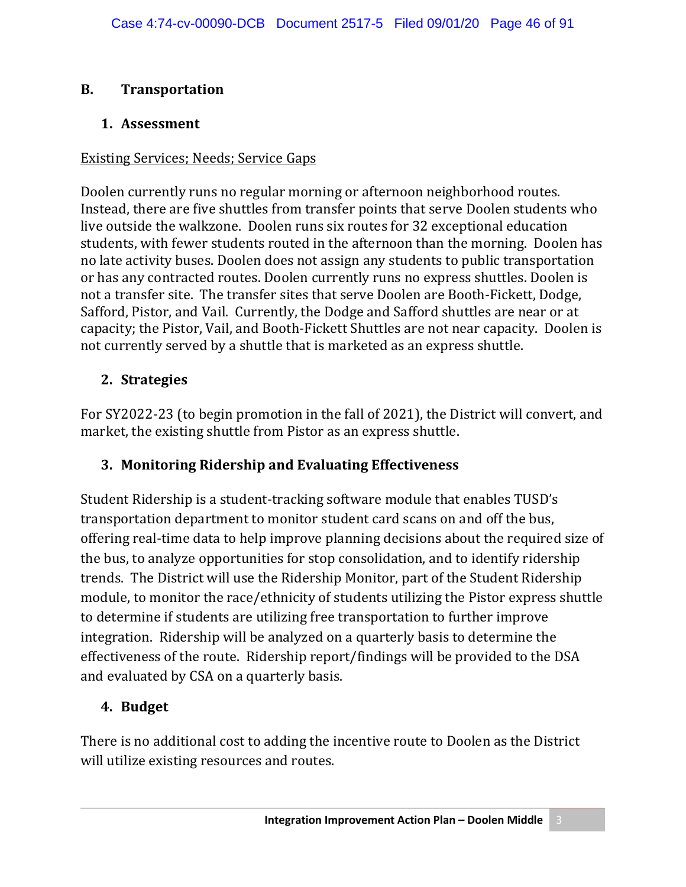### **B. Transportation**

### **1. Assessment**

### Existing Services; Needs; Service Gaps

Doolen currently runs no regular morning or afternoon neighborhood routes. Instead, there are five shuttles from transfer points that serve Doolen students who live outside the walkzone. Doolen runs six routes for 32 exceptional education students, with fewer students routed in the afternoon than the morning. Doolen has no late activity buses. Doolen does not assign any students to public transportation or has any contracted routes. Doolen currently runs no express shuttles. Doolen is not a transfer site. The transfer sites that serve Doolen are Booth-Fickett, Dodge, Safford, Pistor, and Vail. Currently, the Dodge and Safford shuttles are near or at capacity; the Pistor, Vail, and Booth-Fickett Shuttles are not near capacity. Doolen is not currently served by a shuttle that is marketed as an express shuttle.

# **2. Strategies**

For SY2022-23 (to begin promotion in the fall of 2021), the District will convert, and market, the existing shuttle from Pistor as an express shuttle.

# **3. Monitoring Ridership and Evaluating Effectiveness**

Student Ridership is a student-tracking software module that enables TUSD's transportation department to monitor student card scans on and off the bus, offering real-time data to help improve planning decisions about the required size of the bus, to analyze opportunities for stop consolidation, and to identify ridership trends. The District will use the Ridership Monitor, part of the Student Ridership module, to monitor the race/ethnicity of students utilizing the Pistor express shuttle to determine if students are utilizing free transportation to further improve integration. Ridership will be analyzed on a quarterly basis to determine the effectiveness of the route. Ridership report/findings will be provided to the DSA and evaluated by CSA on a quarterly basis.

# **4. Budget**

There is no additional cost to adding the incentive route to Doolen as the District will utilize existing resources and routes.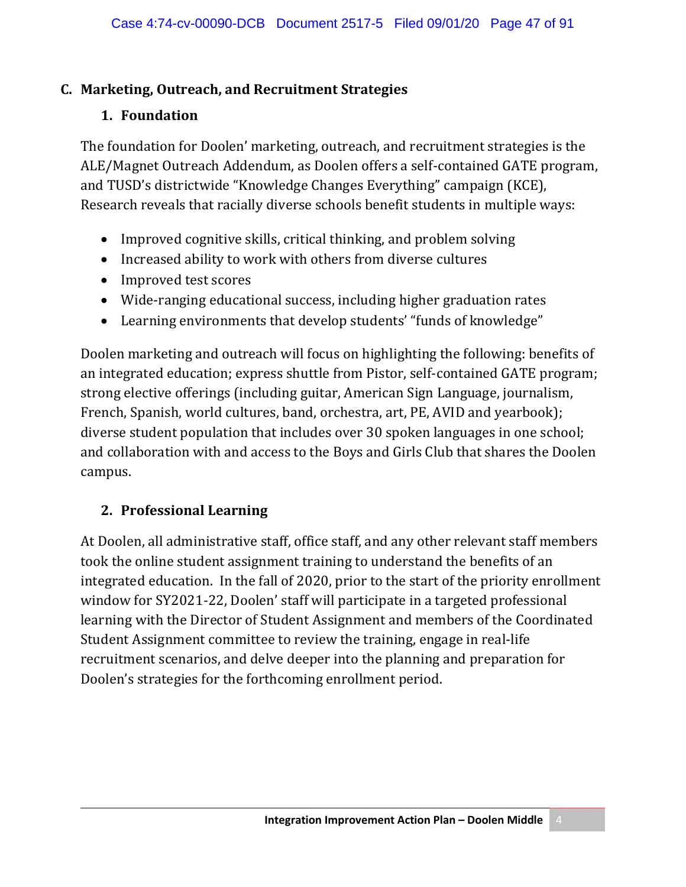### **C. Marketing, Outreach, and Recruitment Strategies**

### **1. Foundation**

The foundation for Doolen' marketing, outreach, and recruitment strategies is the ALE/Magnet Outreach Addendum, as Doolen offers a self-contained GATE program, and TUSD's districtwide "Knowledge Changes Everything" campaign (KCE), Research reveals that racially diverse schools benefit students in multiple ways:

- Improved cognitive skills, critical thinking, and problem solving
- Increased ability to work with others from diverse cultures
- Improved test scores
- Wide-ranging educational success, including higher graduation rates
- Learning environments that develop students' "funds of knowledge"

Doolen marketing and outreach will focus on highlighting the following: benefits of an integrated education; express shuttle from Pistor, self-contained GATE program; strong elective offerings (including guitar, American Sign Language, journalism, French, Spanish, world cultures, band, orchestra, art, PE, AVID and yearbook); diverse student population that includes over 30 spoken languages in one school; and collaboration with and access to the Boys and Girls Club that shares the Doolen campus.

### **2. Professional Learning**

At Doolen, all administrative staff, office staff, and any other relevant staff members took the online student assignment training to understand the benefits of an integrated education. In the fall of 2020, prior to the start of the priority enrollment window for SY2021-22, Doolen' staff will participate in a targeted professional learning with the Director of Student Assignment and members of the Coordinated Student Assignment committee to review the training, engage in real-life recruitment scenarios, and delve deeper into the planning and preparation for Doolen's strategies for the forthcoming enrollment period.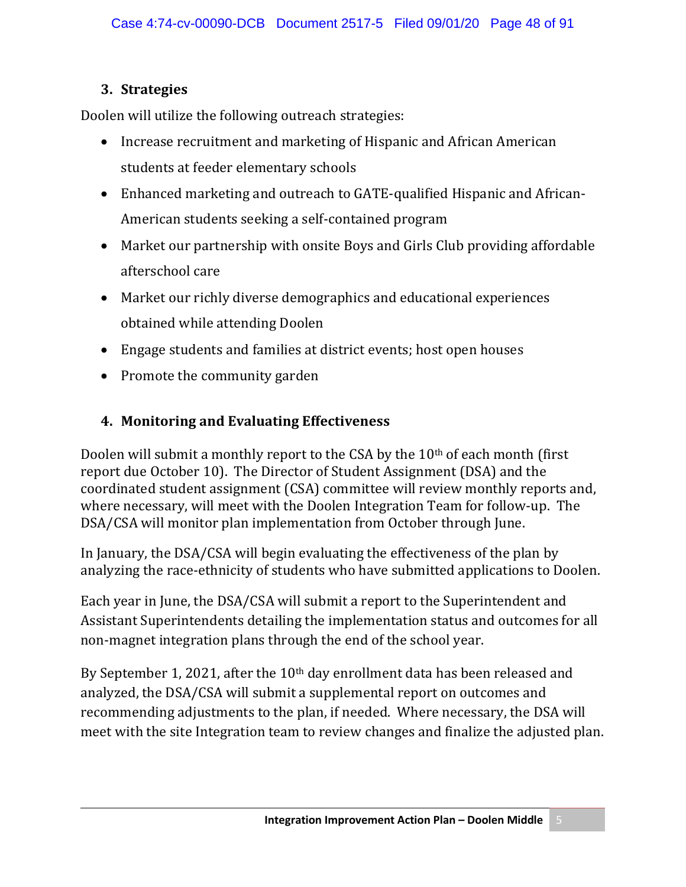# **3. Strategies**

Doolen will utilize the following outreach strategies:

- Increase recruitment and marketing of Hispanic and African American students at feeder elementary schools
- Enhanced marketing and outreach to GATE-qualified Hispanic and African-American students seeking a self-contained program
- Market our partnership with onsite Boys and Girls Club providing affordable afterschool care
- Market our richly diverse demographics and educational experiences obtained while attending Doolen
- Engage students and families at district events; host open houses
- Promote the community garden

# **4. Monitoring and Evaluating Effectiveness**

Doolen will submit a monthly report to the CSA by the  $10<sup>th</sup>$  of each month (first report due October 10). The Director of Student Assignment (DSA) and the coordinated student assignment (CSA) committee will review monthly reports and, where necessary, will meet with the Doolen Integration Team for follow-up. The DSA/CSA will monitor plan implementation from October through June.

In January, the DSA/CSA will begin evaluating the effectiveness of the plan by analyzing the race-ethnicity of students who have submitted applications to Doolen.

Each year in June, the DSA/CSA will submit a report to the Superintendent and Assistant Superintendents detailing the implementation status and outcomes for all non-magnet integration plans through the end of the school year.

By September 1, 2021, after the 10<sup>th</sup> day enrollment data has been released and analyzed, the DSA/CSA will submit a supplemental report on outcomes and recommending adjustments to the plan, if needed. Where necessary, the DSA will meet with the site Integration team to review changes and finalize the adjusted plan.